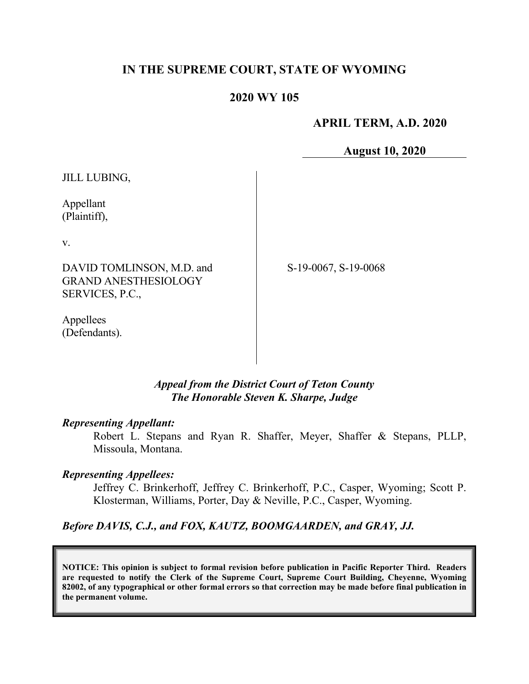### **IN THE SUPREME COURT, STATE OF WYOMING**

#### **2020 WY 105**

 **APRIL TERM, A.D. 2020**

**August 10, 2020**

JILL LUBING,

Appellant (Plaintiff),

v.

DAVID TOMLINSON, M.D. and GRAND ANESTHESIOLOGY SERVICES, P.C.,

S-19-0067, S-19-0068

Appellees (Defendants).

> *Appeal from the District Court of Teton County The Honorable Steven K. Sharpe, Judge*

#### *Representing Appellant:*

Robert L. Stepans and Ryan R. Shaffer, Meyer, Shaffer & Stepans, PLLP, Missoula, Montana.

#### *Representing Appellees:*

Jeffrey C. Brinkerhoff, Jeffrey C. Brinkerhoff, P.C., Casper, Wyoming; Scott P. Klosterman, Williams, Porter, Day & Neville, P.C., Casper, Wyoming.

*Before DAVIS, C.J., and FOX, KAUTZ, BOOMGAARDEN, and GRAY, JJ.*

**NOTICE: This opinion is subject to formal revision before publication in Pacific Reporter Third. Readers are requested to notify the Clerk of the Supreme Court, Supreme Court Building, Cheyenne, Wyoming 82002, of any typographical or other formal errors so that correction may be made before final publication in the permanent volume.**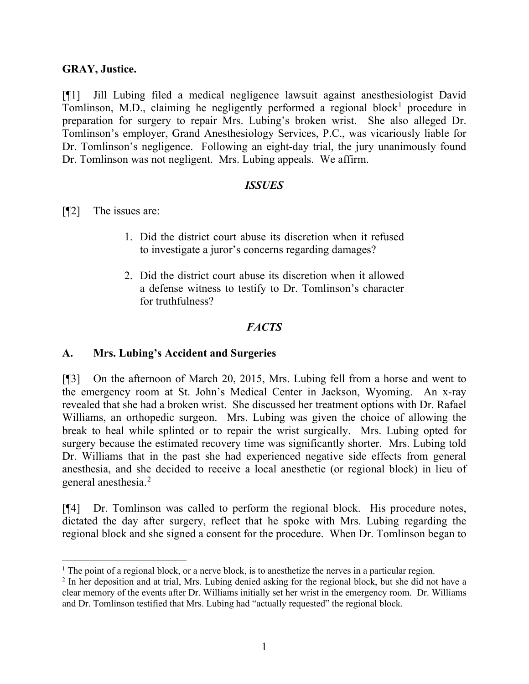## **GRAY, Justice.**

[¶1] Jill Lubing filed a medical negligence lawsuit against anesthesiologist David Tomlinson, M.D., claiming he negligently performed a regional block<sup>[1](#page-1-0)</sup> procedure in preparation for surgery to repair Mrs. Lubing's broken wrist. She also alleged Dr. Tomlinson's employer, Grand Anesthesiology Services, P.C., was vicariously liable for Dr. Tomlinson's negligence. Following an eight-day trial, the jury unanimously found Dr. Tomlinson was not negligent. Mrs. Lubing appeals. We affirm.

#### *ISSUES*

- [¶2] The issues are:
	- 1. Did the district court abuse its discretion when it refused to investigate a juror's concerns regarding damages?
	- 2. Did the district court abuse its discretion when it allowed a defense witness to testify to Dr. Tomlinson's character for truthfulness?

# *FACTS*

## **A. Mrs. Lubing's Accident and Surgeries**

[¶3] On the afternoon of March 20, 2015, Mrs. Lubing fell from a horse and went to the emergency room at St. John's Medical Center in Jackson, Wyoming. An x-ray revealed that she had a broken wrist. She discussed her treatment options with Dr. Rafael Williams, an orthopedic surgeon. Mrs. Lubing was given the choice of allowing the break to heal while splinted or to repair the wrist surgically. Mrs. Lubing opted for surgery because the estimated recovery time was significantly shorter. Mrs. Lubing told Dr. Williams that in the past she had experienced negative side effects from general anesthesia, and she decided to receive a local anesthetic (or regional block) in lieu of general anesthesia. [2](#page-1-1)

[¶4] Dr. Tomlinson was called to perform the regional block. His procedure notes, dictated the day after surgery, reflect that he spoke with Mrs. Lubing regarding the regional block and she signed a consent for the procedure. When Dr. Tomlinson began to

<span id="page-1-0"></span> $<sup>1</sup>$  The point of a regional block, or a nerve block, is to anesthetize the nerves in a particular region.</sup>

<span id="page-1-1"></span><sup>2</sup> In her deposition and at trial, Mrs. Lubing denied asking for the regional block, but she did not have a clear memory of the events after Dr. Williams initially set her wrist in the emergency room. Dr. Williams and Dr. Tomlinson testified that Mrs. Lubing had "actually requested" the regional block.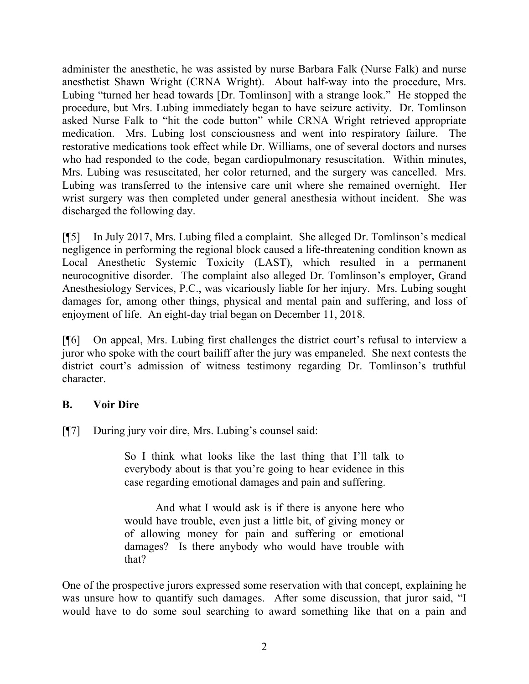administer the anesthetic, he was assisted by nurse Barbara Falk (Nurse Falk) and nurse anesthetist Shawn Wright (CRNA Wright). About half-way into the procedure, Mrs. Lubing "turned her head towards [Dr. Tomlinson] with a strange look." He stopped the procedure, but Mrs. Lubing immediately began to have seizure activity. Dr. Tomlinson asked Nurse Falk to "hit the code button" while CRNA Wright retrieved appropriate medication. Mrs. Lubing lost consciousness and went into respiratory failure. The restorative medications took effect while Dr. Williams, one of several doctors and nurses who had responded to the code, began cardiopulmonary resuscitation. Within minutes, Mrs. Lubing was resuscitated, her color returned, and the surgery was cancelled. Mrs. Lubing was transferred to the intensive care unit where she remained overnight. Her wrist surgery was then completed under general anesthesia without incident. She was discharged the following day.

[¶5] In July 2017, Mrs. Lubing filed a complaint. She alleged Dr. Tomlinson's medical negligence in performing the regional block caused a life-threatening condition known as Local Anesthetic Systemic Toxicity (LAST), which resulted in a permanent neurocognitive disorder. The complaint also alleged Dr. Tomlinson's employer, Grand Anesthesiology Services, P.C., was vicariously liable for her injury. Mrs. Lubing sought damages for, among other things, physical and mental pain and suffering, and loss of enjoyment of life. An eight-day trial began on December 11, 2018.

[¶6] On appeal, Mrs. Lubing first challenges the district court's refusal to interview a juror who spoke with the court bailiff after the jury was empaneled. She next contests the district court's admission of witness testimony regarding Dr. Tomlinson's truthful character.

## **B. Voir Dire**

[¶7] During jury voir dire, Mrs. Lubing's counsel said:

So I think what looks like the last thing that I'll talk to everybody about is that you're going to hear evidence in this case regarding emotional damages and pain and suffering.

And what I would ask is if there is anyone here who would have trouble, even just a little bit, of giving money or of allowing money for pain and suffering or emotional damages? Is there anybody who would have trouble with that?

One of the prospective jurors expressed some reservation with that concept, explaining he was unsure how to quantify such damages. After some discussion, that juror said, "I would have to do some soul searching to award something like that on a pain and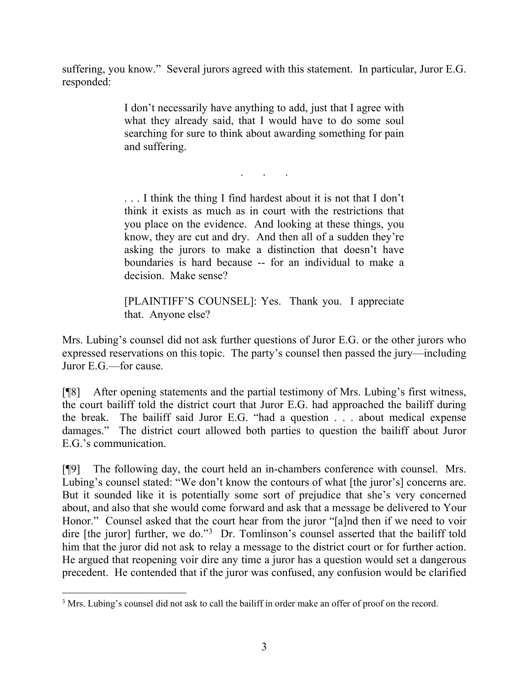suffering, you know." Several jurors agreed with this statement. In particular, Juror E.G. responded:

> I don't necessarily have anything to add, just that I agree with what they already said, that I would have to do some soul searching for sure to think about awarding something for pain and suffering.

> > . . .

. . . I think the thing I find hardest about it is not that I don't think it exists as much as in court with the restrictions that you place on the evidence. And looking at these things, you know, they are cut and dry. And then all of a sudden they're asking the jurors to make a distinction that doesn't have boundaries is hard because -- for an individual to make a decision. Make sense?

[PLAINTIFF'S COUNSEL]: Yes. Thank you. I appreciate that. Anyone else?

Mrs. Lubing's counsel did not ask further questions of Juror E.G. or the other jurors who expressed reservations on this topic. The party's counsel then passed the jury—including Juror E.G.—for cause.

[¶8] After opening statements and the partial testimony of Mrs. Lubing's first witness, the court bailiff told the district court that Juror E.G. had approached the bailiff during the break. The bailiff said Juror E.G. "had a question . . . about medical expense damages." The district court allowed both parties to question the bailiff about Juror E.G.'s communication.

[¶9] The following day, the court held an in-chambers conference with counsel. Mrs. Lubing's counsel stated: "We don't know the contours of what [the juror's] concerns are. But it sounded like it is potentially some sort of prejudice that she's very concerned about, and also that she would come forward and ask that a message be delivered to Your Honor." Counsel asked that the court hear from the juror "[a]nd then if we need to voir dire [the juror] further, we do."<sup>[3](#page-3-0)</sup> Dr. Tomlinson's counsel asserted that the bailiff told him that the juror did not ask to relay a message to the district court or for further action. He argued that reopening voir dire any time a juror has a question would set a dangerous precedent. He contended that if the juror was confused, any confusion would be clarified

<span id="page-3-0"></span><sup>&</sup>lt;sup>3</sup> Mrs. Lubing's counsel did not ask to call the bailiff in order make an offer of proof on the record.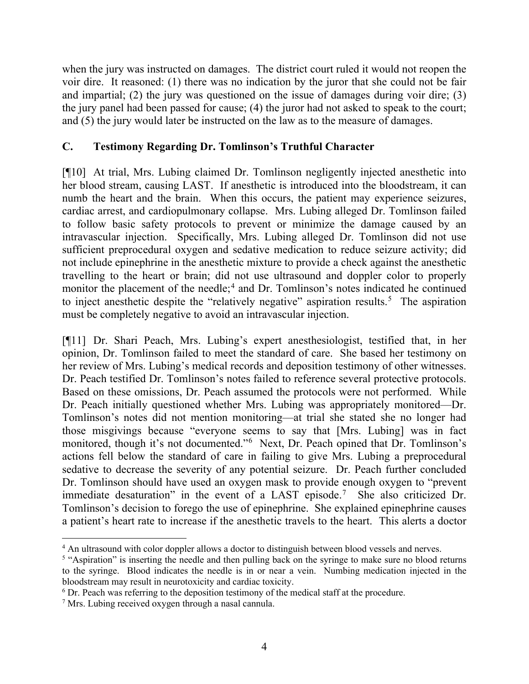when the jury was instructed on damages. The district court ruled it would not reopen the voir dire. It reasoned: (1) there was no indication by the juror that she could not be fair and impartial; (2) the jury was questioned on the issue of damages during voir dire; (3) the jury panel had been passed for cause; (4) the juror had not asked to speak to the court; and (5) the jury would later be instructed on the law as to the measure of damages.

## **C. Testimony Regarding Dr. Tomlinson's Truthful Character**

[¶10] At trial, Mrs. Lubing claimed Dr. Tomlinson negligently injected anesthetic into her blood stream, causing LAST. If anesthetic is introduced into the bloodstream, it can numb the heart and the brain. When this occurs, the patient may experience seizures, cardiac arrest, and cardiopulmonary collapse. Mrs. Lubing alleged Dr. Tomlinson failed to follow basic safety protocols to prevent or minimize the damage caused by an intravascular injection. Specifically, Mrs. Lubing alleged Dr. Tomlinson did not use sufficient preprocedural oxygen and sedative medication to reduce seizure activity; did not include epinephrine in the anesthetic mixture to provide a check against the anesthetic travelling to the heart or brain; did not use ultrasound and doppler color to properly monitor the placement of the needle;<sup>[4](#page-4-0)</sup> and Dr. Tomlinson's notes indicated he continued to inject anesthetic despite the "relatively negative" aspiration results.<sup>[5](#page-4-1)</sup> The aspiration must be completely negative to avoid an intravascular injection.

[¶11] Dr. Shari Peach, Mrs. Lubing's expert anesthesiologist, testified that, in her opinion, Dr. Tomlinson failed to meet the standard of care. She based her testimony on her review of Mrs. Lubing's medical records and deposition testimony of other witnesses. Dr. Peach testified Dr. Tomlinson's notes failed to reference several protective protocols. Based on these omissions, Dr. Peach assumed the protocols were not performed. While Dr. Peach initially questioned whether Mrs. Lubing was appropriately monitored—Dr. Tomlinson's notes did not mention monitoring—at trial she stated she no longer had those misgivings because "everyone seems to say that [Mrs. Lubing] was in fact monitored, though it's not documented."<sup>[6](#page-4-2)</sup> Next, Dr. Peach opined that Dr. Tomlinson's actions fell below the standard of care in failing to give Mrs. Lubing a preprocedural sedative to decrease the severity of any potential seizure. Dr. Peach further concluded Dr. Tomlinson should have used an oxygen mask to provide enough oxygen to "prevent immediate desaturation" in the event of a LAST episode.<sup>[7](#page-4-3)</sup> She also criticized Dr. Tomlinson's decision to forego the use of epinephrine. She explained epinephrine causes a patient's heart rate to increase if the anesthetic travels to the heart. This alerts a doctor

<span id="page-4-0"></span><sup>&</sup>lt;sup>4</sup> An ultrasound with color doppler allows a doctor to distinguish between blood vessels and nerves.

<span id="page-4-1"></span><sup>&</sup>lt;sup>5</sup> "Aspiration" is inserting the needle and then pulling back on the syringe to make sure no blood returns to the syringe. Blood indicates the needle is in or near a vein. Numbing medication injected in the bloodstream may result in neurotoxicity and cardiac toxicity.

<span id="page-4-2"></span> $6$  Dr. Peach was referring to the deposition testimony of the medical staff at the procedure.

<span id="page-4-3"></span><sup>7</sup> Mrs. Lubing received oxygen through a nasal cannula.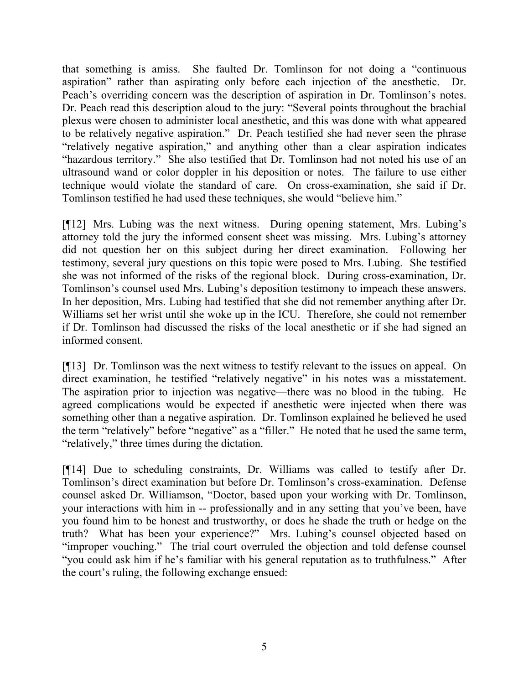that something is amiss. She faulted Dr. Tomlinson for not doing a "continuous aspiration" rather than aspirating only before each injection of the anesthetic. Dr. Peach's overriding concern was the description of aspiration in Dr. Tomlinson's notes. Dr. Peach read this description aloud to the jury: "Several points throughout the brachial plexus were chosen to administer local anesthetic, and this was done with what appeared to be relatively negative aspiration." Dr. Peach testified she had never seen the phrase "relatively negative aspiration," and anything other than a clear aspiration indicates "hazardous territory." She also testified that Dr. Tomlinson had not noted his use of an ultrasound wand or color doppler in his deposition or notes. The failure to use either technique would violate the standard of care. On cross-examination, she said if Dr. Tomlinson testified he had used these techniques, she would "believe him."

[¶12] Mrs. Lubing was the next witness. During opening statement, Mrs. Lubing's attorney told the jury the informed consent sheet was missing. Mrs. Lubing's attorney did not question her on this subject during her direct examination. Following her testimony, several jury questions on this topic were posed to Mrs. Lubing. She testified she was not informed of the risks of the regional block. During cross-examination, Dr. Tomlinson's counsel used Mrs. Lubing's deposition testimony to impeach these answers. In her deposition, Mrs. Lubing had testified that she did not remember anything after Dr. Williams set her wrist until she woke up in the ICU. Therefore, she could not remember if Dr. Tomlinson had discussed the risks of the local anesthetic or if she had signed an informed consent.

[¶13] Dr. Tomlinson was the next witness to testify relevant to the issues on appeal. On direct examination, he testified "relatively negative" in his notes was a misstatement. The aspiration prior to injection was negative—there was no blood in the tubing. He agreed complications would be expected if anesthetic were injected when there was something other than a negative aspiration. Dr. Tomlinson explained he believed he used the term "relatively" before "negative" as a "filler." He noted that he used the same term, "relatively," three times during the dictation.

[¶14] Due to scheduling constraints, Dr. Williams was called to testify after Dr. Tomlinson's direct examination but before Dr. Tomlinson's cross-examination. Defense counsel asked Dr. Williamson, "Doctor, based upon your working with Dr. Tomlinson, your interactions with him in -- professionally and in any setting that you've been, have you found him to be honest and trustworthy, or does he shade the truth or hedge on the truth? What has been your experience?" Mrs. Lubing's counsel objected based on "improper vouching." The trial court overruled the objection and told defense counsel "you could ask him if he's familiar with his general reputation as to truthfulness." After the court's ruling, the following exchange ensued: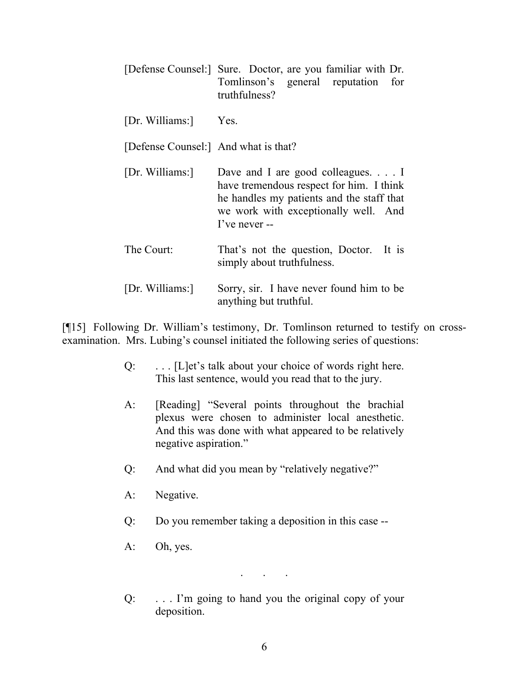|                                      | [Defense Counsel:] Sure. Doctor, are you familiar with Dr.<br>Tomlinson's general reputation for<br>truthfulness?                                                                            |
|--------------------------------------|----------------------------------------------------------------------------------------------------------------------------------------------------------------------------------------------|
| [Dr. Williams:]                      | Yes.                                                                                                                                                                                         |
| [Defense Counsel:] And what is that? |                                                                                                                                                                                              |
| [Dr. Williams:]                      | Dave and I are good colleagues. $\ldots$ I<br>have tremendous respect for him. I think<br>he handles my patients and the staff that<br>we work with exceptionally well. And<br>I've never -- |
| The Court:                           | That's not the question, Doctor. It is<br>simply about truthfulness.                                                                                                                         |
| [Dr. Williams:]                      | Sorry, sir. I have never found him to be<br>anything but truthful.                                                                                                                           |

[¶15] Following Dr. William's testimony, Dr. Tomlinson returned to testify on crossexamination. Mrs. Lubing's counsel initiated the following series of questions:

- Q: . . . [L]et's talk about your choice of words right here. This last sentence, would you read that to the jury.
- A: [Reading] "Several points throughout the brachial plexus were chosen to administer local anesthetic. And this was done with what appeared to be relatively negative aspiration."
- Q: And what did you mean by "relatively negative?"
- A: Negative.
- Q: Do you remember taking a deposition in this case --
- A: Oh, yes.

. . .

Q: . . . I'm going to hand you the original copy of your deposition.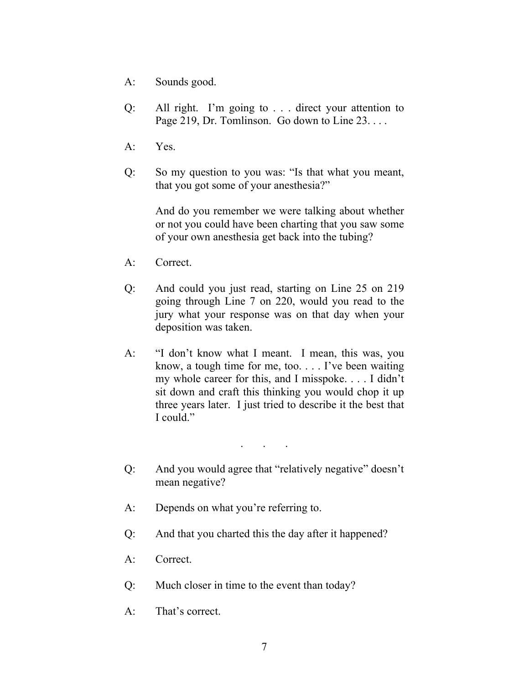- A: Sounds good.
- Q: All right. I'm going to . . . direct your attention to Page 219, Dr. Tomlinson. Go down to Line 23. . . .
- A: Yes.
- Q: So my question to you was: "Is that what you meant, that you got some of your anesthesia?"

And do you remember we were talking about whether or not you could have been charting that you saw some of your own anesthesia get back into the tubing?

- A: Correct.
- Q: And could you just read, starting on Line 25 on 219 going through Line 7 on 220, would you read to the jury what your response was on that day when your deposition was taken.
- A: "I don't know what I meant. I mean, this was, you know, a tough time for me, too. . . . I've been waiting my whole career for this, and I misspoke. . . . I didn't sit down and craft this thinking you would chop it up three years later. I just tried to describe it the best that I could."

. . .

- Q: And you would agree that "relatively negative" doesn't mean negative?
- A: Depends on what you're referring to.
- Q: And that you charted this the day after it happened?
- A: Correct.
- Q: Much closer in time to the event than today?
- A: That's correct.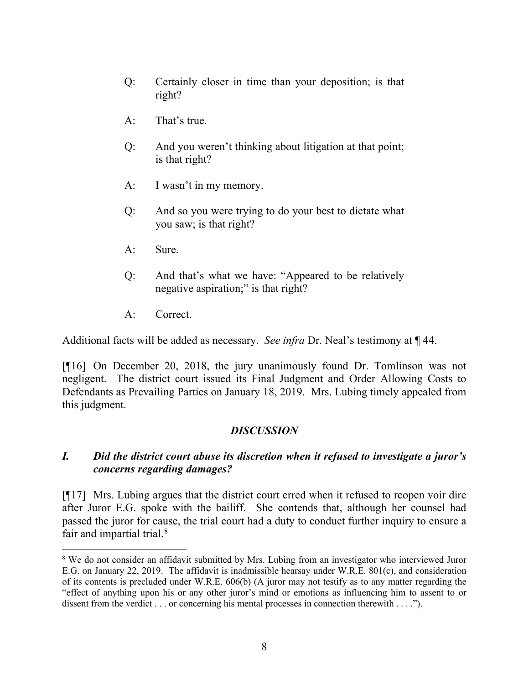- Q: Certainly closer in time than your deposition; is that right?
- A: That's true.
- Q: And you weren't thinking about litigation at that point; is that right?
- A: I wasn't in my memory.
- Q: And so you were trying to do your best to dictate what you saw; is that right?
- A: Sure.
- Q: And that's what we have: "Appeared to be relatively negative aspiration;" is that right?
- A: Correct.

Additional facts will be added as necessary. *See infra* Dr. Neal's testimony at ¶ 44.

[¶16] On December 20, 2018, the jury unanimously found Dr. Tomlinson was not negligent. The district court issued its Final Judgment and Order Allowing Costs to Defendants as Prevailing Parties on January 18, 2019. Mrs. Lubing timely appealed from this judgment.

## *DISCUSSION*

## *I. Did the district court abuse its discretion when it refused to investigate a juror's concerns regarding damages?*

[¶17] Mrs. Lubing argues that the district court erred when it refused to reopen voir dire after Juror E.G. spoke with the bailiff. She contends that, although her counsel had passed the juror for cause, the trial court had a duty to conduct further inquiry to ensure a fair and impartial trial.<sup>[8](#page-8-0)</sup>

<span id="page-8-0"></span><sup>&</sup>lt;sup>8</sup> We do not consider an affidavit submitted by Mrs. Lubing from an investigator who interviewed Juror E.G. on January 22, 2019. The affidavit is inadmissible hearsay under W.R.E. 801(c), and consideration of its contents is precluded under W.R.E. 606(b) (A juror may not testify as to any matter regarding the "effect of anything upon his or any other juror's mind or emotions as influencing him to assent to or dissent from the verdict . . . or concerning his mental processes in connection therewith . . . .").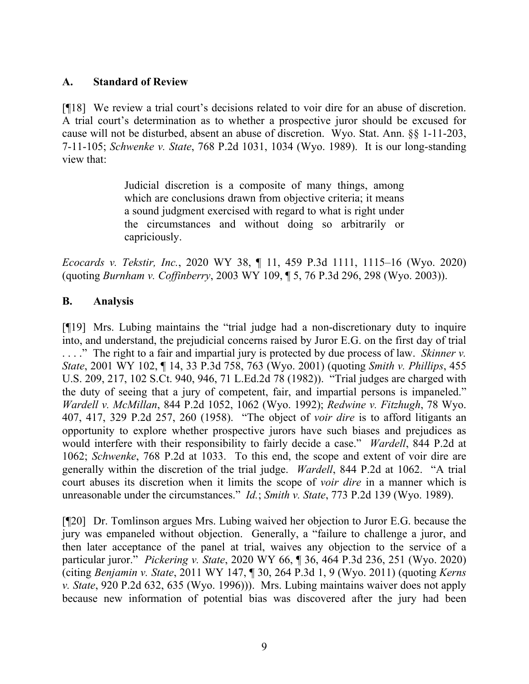## **A. Standard of Review**

[¶18] We review a trial court's decisions related to voir dire for an abuse of discretion. A trial court's determination as to whether a prospective juror should be excused for cause will not be disturbed, absent an abuse of discretion. Wyo. Stat. Ann. §§ 1-11-203, 7-11-105; *Schwenke v. State*, 768 P.2d 1031, 1034 (Wyo. 1989). It is our long-standing view that:

> Judicial discretion is a composite of many things, among which are conclusions drawn from objective criteria; it means a sound judgment exercised with regard to what is right under the circumstances and without doing so arbitrarily or capriciously.

*Ecocards v. Tekstir, Inc.*, 2020 WY 38, ¶ 11, 459 P.3d 1111, 1115–16 (Wyo. 2020) (quoting *Burnham v. Coffinberry*, 2003 WY 109, ¶ 5, 76 P.3d 296, 298 (Wyo. 2003)).

## **B. Analysis**

[¶19] Mrs. Lubing maintains the "trial judge had a non-discretionary duty to inquire into, and understand, the prejudicial concerns raised by Juror E.G. on the first day of trial . . . ." The right to a fair and impartial jury is protected by due process of law. *Skinner v. State*, 2001 WY 102, ¶ 14, 33 P.3d 758, 763 (Wyo. 2001) (quoting *Smith v. Phillips*, 455 U.S. 209, 217, 102 S.Ct. 940, 946, 71 L.Ed.2d 78 (1982)). "Trial judges are charged with the duty of seeing that a jury of competent, fair, and impartial persons is impaneled." *Wardell v. McMillan*, 844 P.2d 1052, 1062 (Wyo. 1992); *Redwine v. Fitzhugh*, 78 Wyo. 407, 417, 329 P.2d 257, 260 (1958). "The object of *voir dire* is to afford litigants an opportunity to explore whether prospective jurors have such biases and prejudices as would interfere with their responsibility to fairly decide a case." *Wardell*, 844 P.2d at 1062; *Schwenke*, 768 P.2d at 1033. To this end, the scope and extent of voir dire are generally within the discretion of the trial judge. *Wardell*, 844 P.2d at 1062. "A trial court abuses its discretion when it limits the scope of *voir dire* in a manner which is unreasonable under the circumstances." *Id.*; *Smith v. State*, 773 P.2d 139 (Wyo. 1989).

[¶20] Dr. Tomlinson argues Mrs. Lubing waived her objection to Juror E.G. because the jury was empaneled without objection. Generally, a "failure to challenge a juror, and then later acceptance of the panel at trial, waives any objection to the service of a particular juror." *Pickering v. State*, 2020 WY 66, ¶ 36, 464 P.3d 236, 251 (Wyo. 2020) (citing *Benjamin v. State*, 2011 WY 147, ¶ 30, 264 P.3d 1, 9 (Wyo. 2011) (quoting *Kerns v. State*, 920 P.2d 632, 635 (Wyo. 1996))). Mrs. Lubing maintains waiver does not apply because new information of potential bias was discovered after the jury had been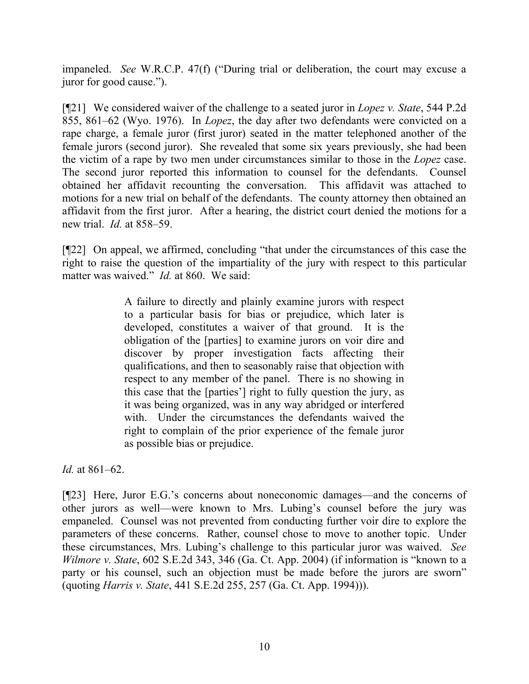impaneled. *See* W.R.C.P. 47(f) ("During trial or deliberation, the court may excuse a juror for good cause.").

[¶21] We considered waiver of the challenge to a seated juror in *Lopez v. State*, 544 P.2d 855, 861–62 (Wyo. 1976). In *Lopez*, the day after two defendants were convicted on a rape charge, a female juror (first juror) seated in the matter telephoned another of the female jurors (second juror). She revealed that some six years previously, she had been the victim of a rape by two men under circumstances similar to those in the *Lopez* case. The second juror reported this information to counsel for the defendants. Counsel obtained her affidavit recounting the conversation. This affidavit was attached to motions for a new trial on behalf of the defendants. The county attorney then obtained an affidavit from the first juror. After a hearing, the district court denied the motions for a new trial. *Id.* at 858–59.

[¶22] On appeal, we affirmed, concluding "that under the circumstances of this case the right to raise the question of the impartiality of the jury with respect to this particular matter was waived." *Id.* at 860. We said:

> A failure to directly and plainly examine jurors with respect to a particular basis for bias or prejudice, which later is developed, constitutes a waiver of that ground. It is the obligation of the [parties] to examine jurors on voir dire and discover by proper investigation facts affecting their qualifications, and then to seasonably raise that objection with respect to any member of the panel. There is no showing in this case that the [parties'] right to fully question the jury, as it was being organized, was in any way abridged or interfered with. Under the circumstances the defendants waived the right to complain of the prior experience of the female juror as possible bias or prejudice.

*Id.* at 861–62.

[¶23] Here, Juror E.G.'s concerns about noneconomic damages—and the concerns of other jurors as well—were known to Mrs. Lubing's counsel before the jury was empaneled. Counsel was not prevented from conducting further voir dire to explore the parameters of these concerns. Rather, counsel chose to move to another topic. Under these circumstances, Mrs. Lubing's challenge to this particular juror was waived. *See Wilmore v. State*, 602 S.E.2d 343, 346 (Ga. Ct. App. 2004) (if information is "known to a party or his counsel, such an objection must be made before the jurors are sworn" (quoting *Harris v. State*, 441 S.E.2d 255, 257 (Ga. Ct. App. 1994))).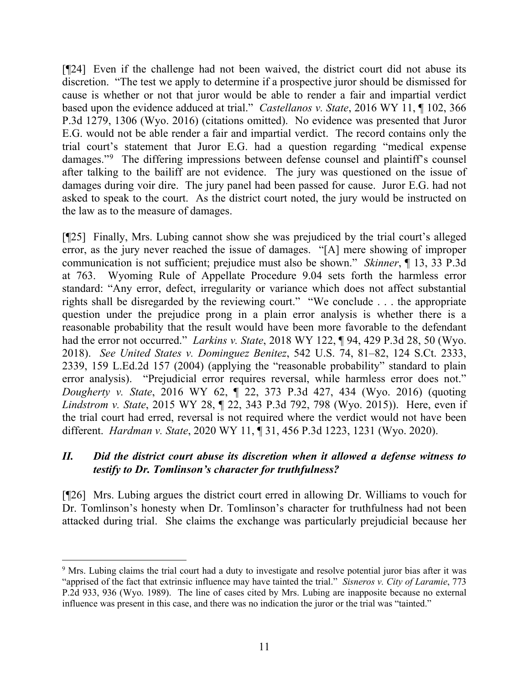[¶24] Even if the challenge had not been waived, the district court did not abuse its discretion. "The test we apply to determine if a prospective juror should be dismissed for cause is whether or not that juror would be able to render a fair and impartial verdict based upon the evidence adduced at trial." *Castellanos v. State*, 2016 WY 11, ¶ 102, 366 P.3d 1279, 1306 (Wyo. 2016) (citations omitted). No evidence was presented that Juror E.G. would not be able render a fair and impartial verdict. The record contains only the trial court's statement that Juror E.G. had a question regarding "medical expense damages."[9](#page-11-0) The differing impressions between defense counsel and plaintiff's counsel after talking to the bailiff are not evidence. The jury was questioned on the issue of damages during voir dire. The jury panel had been passed for cause. Juror E.G. had not asked to speak to the court. As the district court noted, the jury would be instructed on the law as to the measure of damages.

[¶25] Finally, Mrs. Lubing cannot show she was prejudiced by the trial court's alleged error, as the jury never reached the issue of damages. "[A] mere showing of improper communication is not sufficient; prejudice must also be shown." *Skinner*, ¶ 13, 33 P.3d at 763. Wyoming Rule of Appellate Procedure 9.04 sets forth the harmless error standard: "Any error, defect, irregularity or variance which does not affect substantial rights shall be disregarded by the reviewing court." "We conclude . . . the appropriate question under the prejudice prong in a plain error analysis is whether there is a reasonable probability that the result would have been more favorable to the defendant had the error not occurred." *Larkins v. State*, 2018 WY 122, ¶ 94, 429 P.3d 28, 50 (Wyo. 2018). *See United States v. Dominguez Benitez*, 542 U.S. 74, 81–82, 124 S.Ct. 2333, 2339, 159 L.Ed.2d 157 (2004) (applying the "reasonable probability" standard to plain error analysis). "Prejudicial error requires reversal, while harmless error does not." *Dougherty v. State*, 2016 WY 62, ¶ 22, 373 P.3d 427, 434 (Wyo. 2016) (quoting *Lindstrom v. State*, 2015 WY 28, ¶ 22, 343 P.3d 792, 798 (Wyo. 2015)). Here, even if the trial court had erred, reversal is not required where the verdict would not have been different. *Hardman v. State*, 2020 WY 11, ¶ 31, 456 P.3d 1223, 1231 (Wyo. 2020).

## *II. Did the district court abuse its discretion when it allowed a defense witness to testify to Dr. Tomlinson's character for truthfulness?*

[¶26] Mrs. Lubing argues the district court erred in allowing Dr. Williams to vouch for Dr. Tomlinson's honesty when Dr. Tomlinson's character for truthfulness had not been attacked during trial. She claims the exchange was particularly prejudicial because her

<span id="page-11-0"></span><sup>&</sup>lt;sup>9</sup> Mrs. Lubing claims the trial court had a duty to investigate and resolve potential juror bias after it was "apprised of the fact that extrinsic influence may have tainted the trial." *Sisneros v. City of Laramie*, 773 P.2d 933, 936 (Wyo. 1989). The line of cases cited by Mrs. Lubing are inapposite because no external influence was present in this case, and there was no indication the juror or the trial was "tainted."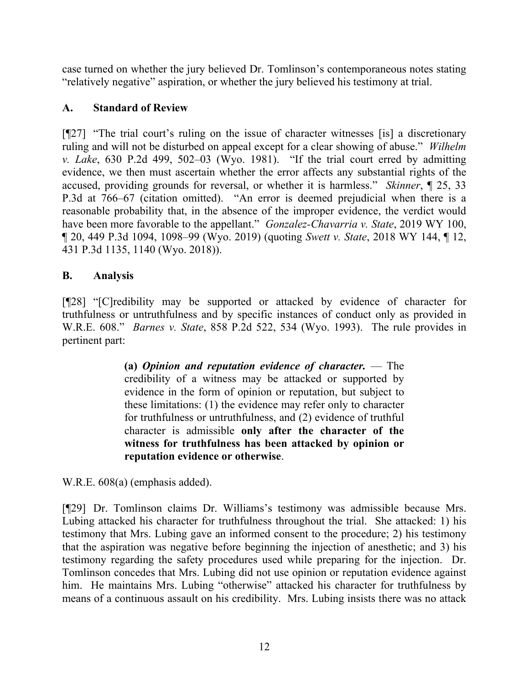case turned on whether the jury believed Dr. Tomlinson's contemporaneous notes stating "relatively negative" aspiration, or whether the jury believed his testimony at trial.

## **A. Standard of Review**

[¶27] "The trial court's ruling on the issue of character witnesses [is] a discretionary ruling and will not be disturbed on appeal except for a clear showing of abuse." *Wilhelm v. Lake*, 630 P.2d 499, 502–03 (Wyo. 1981). "If the trial court erred by admitting evidence, we then must ascertain whether the error affects any substantial rights of the accused, providing grounds for reversal, or whether it is harmless." *Skinner*, ¶ 25, 33 P.3d at 766–67 (citation omitted). "An error is deemed prejudicial when there is a reasonable probability that, in the absence of the improper evidence, the verdict would have been more favorable to the appellant." *Gonzalez-Chavarria v. State*, 2019 WY 100, ¶ 20, 449 P.3d 1094, 1098–99 (Wyo. 2019) (quoting *Swett v. State*, 2018 WY 144, ¶ 12, 431 P.3d 1135, 1140 (Wyo. 2018)).

# **B. Analysis**

[¶28] "[C]redibility may be supported or attacked by evidence of character for truthfulness or untruthfulness and by specific instances of conduct only as provided in W.R.E. 608." *Barnes v. State*, 858 P.2d 522, 534 (Wyo. 1993). The rule provides in pertinent part:

> **(a)** *Opinion and reputation evidence of character.* — The credibility of a witness may be attacked or supported by evidence in the form of opinion or reputation, but subject to these limitations: (1) the evidence may refer only to character for truthfulness or untruthfulness, and (2) evidence of truthful character is admissible **only after the character of the witness for truthfulness has been attacked by opinion or reputation evidence or otherwise**.

W.R.E. 608(a) (emphasis added).

[¶29] Dr. Tomlinson claims Dr. Williams's testimony was admissible because Mrs. Lubing attacked his character for truthfulness throughout the trial. She attacked: 1) his testimony that Mrs. Lubing gave an informed consent to the procedure; 2) his testimony that the aspiration was negative before beginning the injection of anesthetic; and 3) his testimony regarding the safety procedures used while preparing for the injection. Dr. Tomlinson concedes that Mrs. Lubing did not use opinion or reputation evidence against him. He maintains Mrs. Lubing "otherwise" attacked his character for truthfulness by means of a continuous assault on his credibility. Mrs. Lubing insists there was no attack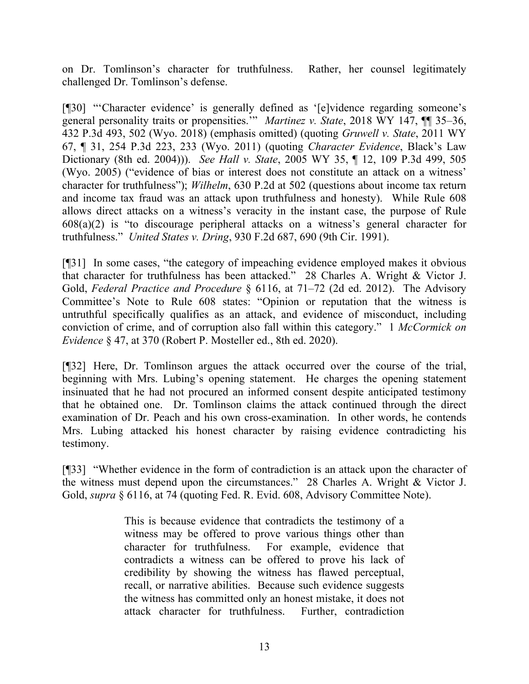on Dr. Tomlinson's character for truthfulness. Rather, her counsel legitimately challenged Dr. Tomlinson's defense.

[¶30] "'Character evidence' is generally defined as '[e]vidence regarding someone's general personality traits or propensities.'" *Martinez v. State*, 2018 WY 147, ¶¶ 35–36, 432 P.3d 493, 502 (Wyo. 2018) (emphasis omitted) (quoting *Gruwell v. State*, 2011 WY 67, ¶ 31, 254 P.3d 223, 233 (Wyo. 2011) (quoting *Character Evidence*, Black's Law Dictionary (8th ed. 2004))). *See Hall v. State*, 2005 WY 35, ¶ 12, 109 P.3d 499, 505 (Wyo. 2005) ("evidence of bias or interest does not constitute an attack on a witness' character for truthfulness"); *Wilhelm*, 630 P.2d at 502 (questions about income tax return and income tax fraud was an attack upon truthfulness and honesty). While Rule 608 allows direct attacks on a witness's veracity in the instant case, the purpose of Rule 608(a)(2) is "to discourage peripheral attacks on a witness's general character for truthfulness." *United States v. Dring*, 930 F.2d 687, 690 (9th Cir. 1991).

[¶31] In some cases, "the category of impeaching evidence employed makes it obvious that character for truthfulness has been attacked." 28 Charles A. Wright & Victor J. Gold, *Federal Practice and Procedure* § 6116, at 71–72 (2d ed. 2012). The Advisory Committee's Note to Rule 608 states: "Opinion or reputation that the witness is untruthful specifically qualifies as an attack, and evidence of misconduct, including conviction of crime, and of corruption also fall within this category." 1 *McCormick on Evidence* § 47, at 370 (Robert P. Mosteller ed., 8th ed. 2020).

[¶32] Here, Dr. Tomlinson argues the attack occurred over the course of the trial, beginning with Mrs. Lubing's opening statement. He charges the opening statement insinuated that he had not procured an informed consent despite anticipated testimony that he obtained one. Dr. Tomlinson claims the attack continued through the direct examination of Dr. Peach and his own cross-examination. In other words, he contends Mrs. Lubing attacked his honest character by raising evidence contradicting his testimony.

[¶33] "Whether evidence in the form of contradiction is an attack upon the character of the witness must depend upon the circumstances." 28 Charles A. Wright & Victor J. Gold, *supra* § 6116, at 74 (quoting Fed. R. Evid. 608, Advisory Committee Note).

> This is because evidence that contradicts the testimony of a witness may be offered to prove various things other than character for truthfulness. For example, evidence that contradicts a witness can be offered to prove his lack of credibility by showing the witness has flawed perceptual, recall, or narrative abilities. Because such evidence suggests the witness has committed only an honest mistake, it does not attack character for truthfulness. Further, contradiction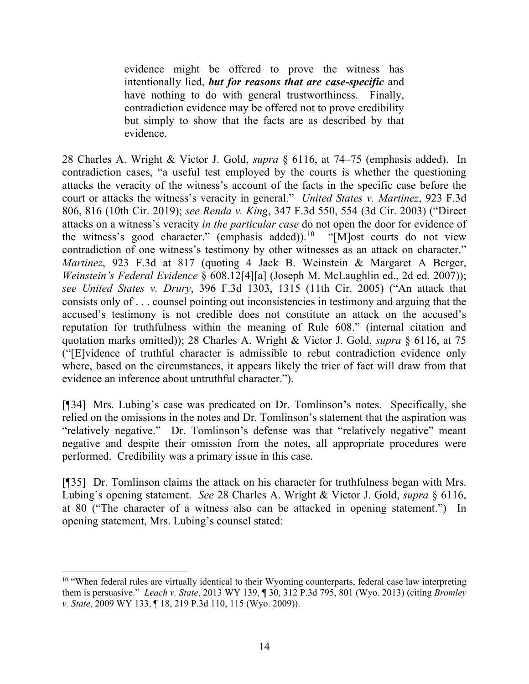evidence might be offered to prove the witness has intentionally lied, *but for reasons that are case-specific* and have nothing to do with general trustworthiness. Finally, contradiction evidence may be offered not to prove credibility but simply to show that the facts are as described by that evidence.

28 Charles A. Wright & Victor J. Gold, *supra* § 6116, at 74–75 (emphasis added). In contradiction cases, "a useful test employed by the courts is whether the questioning attacks the veracity of the witness's account of the facts in the specific case before the court or attacks the witness's veracity in general." *United States v. Martinez*, 923 F.3d 806, 816 (10th Cir. 2019); *see Renda v. King*, 347 F.3d 550, 554 (3d Cir. 2003) ("Direct attacks on a witness's veracity *in the particular case* do not open the door for evidence of the witness's good character." (emphasis added)).<sup>[10](#page-14-0)</sup> "[M]ost courts do not view contradiction of one witness's testimony by other witnesses as an attack on character." *Martinez*, 923 F.3d at 817 (quoting 4 Jack B. Weinstein & Margaret A Berger, *Weinstein's Federal Evidence* § 608.12[4][a] (Joseph M. McLaughlin ed., 2d ed. 2007)); *see United States v. Drury*, 396 F.3d 1303, 1315 (11th Cir. 2005) ("An attack that consists only of . . . counsel pointing out inconsistencies in testimony and arguing that the accused's testimony is not credible does not constitute an attack on the accused's reputation for truthfulness within the meaning of Rule 608." (internal citation and quotation marks omitted)); 28 Charles A. Wright & Victor J. Gold, *supra* § 6116, at 75 ("[E]vidence of truthful character is admissible to rebut contradiction evidence only where, based on the circumstances, it appears likely the trier of fact will draw from that evidence an inference about untruthful character.").

[¶34] Mrs. Lubing's case was predicated on Dr. Tomlinson's notes. Specifically, she relied on the omissions in the notes and Dr. Tomlinson's statement that the aspiration was "relatively negative." Dr. Tomlinson's defense was that "relatively negative" meant negative and despite their omission from the notes, all appropriate procedures were performed. Credibility was a primary issue in this case.

[¶35] Dr. Tomlinson claims the attack on his character for truthfulness began with Mrs. Lubing's opening statement. *See* 28 Charles A. Wright & Victor J. Gold, *supra* § 6116, at 80 ("The character of a witness also can be attacked in opening statement.") In opening statement, Mrs. Lubing's counsel stated:

<span id="page-14-0"></span><sup>&</sup>lt;sup>10</sup> "When federal rules are virtually identical to their Wyoming counterparts, federal case law interpreting them is persuasive." *Leach v. State*, 2013 WY 139, ¶ 30, 312 P.3d 795, 801 (Wyo. 2013) (citing *Bromley v. State*, 2009 WY 133, ¶ 18, 219 P.3d 110, 115 (Wyo. 2009)).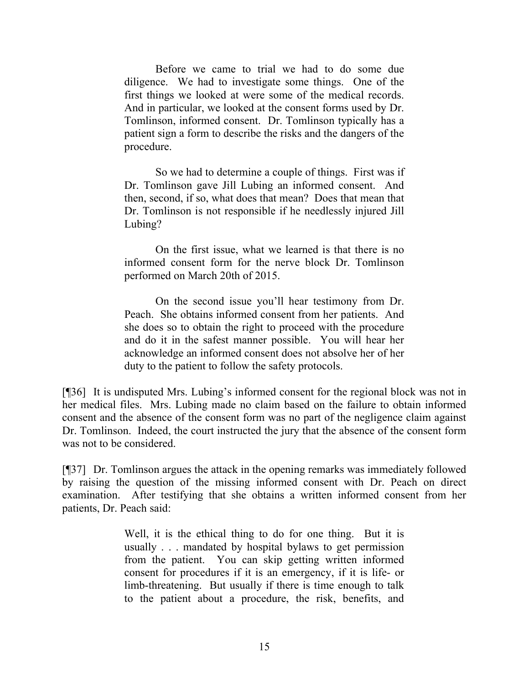Before we came to trial we had to do some due diligence. We had to investigate some things. One of the first things we looked at were some of the medical records. And in particular, we looked at the consent forms used by Dr. Tomlinson, informed consent. Dr. Tomlinson typically has a patient sign a form to describe the risks and the dangers of the procedure.

So we had to determine a couple of things. First was if Dr. Tomlinson gave Jill Lubing an informed consent. And then, second, if so, what does that mean? Does that mean that Dr. Tomlinson is not responsible if he needlessly injured Jill Lubing?

On the first issue, what we learned is that there is no informed consent form for the nerve block Dr. Tomlinson performed on March 20th of 2015.

On the second issue you'll hear testimony from Dr. Peach. She obtains informed consent from her patients. And she does so to obtain the right to proceed with the procedure and do it in the safest manner possible. You will hear her acknowledge an informed consent does not absolve her of her duty to the patient to follow the safety protocols.

[¶36] It is undisputed Mrs. Lubing's informed consent for the regional block was not in her medical files. Mrs. Lubing made no claim based on the failure to obtain informed consent and the absence of the consent form was no part of the negligence claim against Dr. Tomlinson. Indeed, the court instructed the jury that the absence of the consent form was not to be considered.

[¶37] Dr. Tomlinson argues the attack in the opening remarks was immediately followed by raising the question of the missing informed consent with Dr. Peach on direct examination. After testifying that she obtains a written informed consent from her patients, Dr. Peach said:

> Well, it is the ethical thing to do for one thing. But it is usually . . . mandated by hospital bylaws to get permission from the patient. You can skip getting written informed consent for procedures if it is an emergency, if it is life- or limb-threatening. But usually if there is time enough to talk to the patient about a procedure, the risk, benefits, and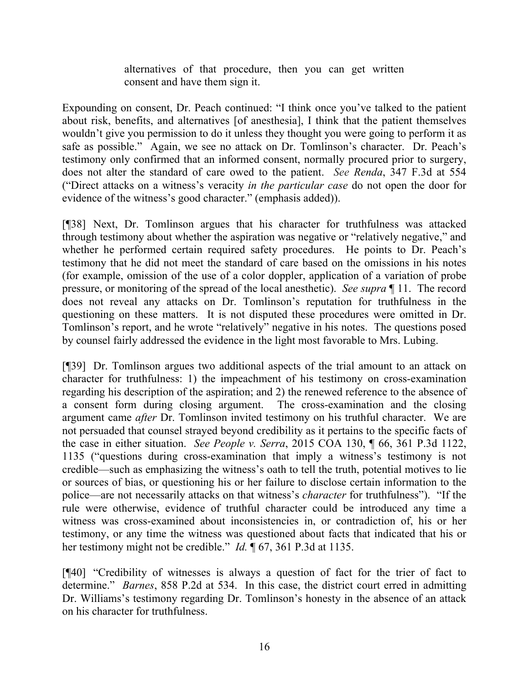alternatives of that procedure, then you can get written consent and have them sign it.

Expounding on consent, Dr. Peach continued: "I think once you've talked to the patient about risk, benefits, and alternatives [of anesthesia], I think that the patient themselves wouldn't give you permission to do it unless they thought you were going to perform it as safe as possible." Again, we see no attack on Dr. Tomlinson's character. Dr. Peach's testimony only confirmed that an informed consent, normally procured prior to surgery, does not alter the standard of care owed to the patient. *See Renda*, 347 F.3d at 554 ("Direct attacks on a witness's veracity *in the particular case* do not open the door for evidence of the witness's good character." (emphasis added)).

[¶38] Next, Dr. Tomlinson argues that his character for truthfulness was attacked through testimony about whether the aspiration was negative or "relatively negative," and whether he performed certain required safety procedures. He points to Dr. Peach's testimony that he did not meet the standard of care based on the omissions in his notes (for example, omission of the use of a color doppler, application of a variation of probe pressure, or monitoring of the spread of the local anesthetic). *See supra* ¶ 11. The record does not reveal any attacks on Dr. Tomlinson's reputation for truthfulness in the questioning on these matters. It is not disputed these procedures were omitted in Dr. Tomlinson's report, and he wrote "relatively" negative in his notes. The questions posed by counsel fairly addressed the evidence in the light most favorable to Mrs. Lubing.

[¶39] Dr. Tomlinson argues two additional aspects of the trial amount to an attack on character for truthfulness: 1) the impeachment of his testimony on cross-examination regarding his description of the aspiration; and 2) the renewed reference to the absence of a consent form during closing argument. The cross-examination and the closing argument came *after* Dr. Tomlinson invited testimony on his truthful character. We are not persuaded that counsel strayed beyond credibility as it pertains to the specific facts of the case in either situation. *See People v. Serra*, 2015 COA 130, ¶ 66, 361 P.3d 1122, 1135 ("questions during cross-examination that imply a witness's testimony is not credible—such as emphasizing the witness's oath to tell the truth, potential motives to lie or sources of bias, or questioning his or her failure to disclose certain information to the police—are not necessarily attacks on that witness's *character* for truthfulness"). "If the rule were otherwise, evidence of truthful character could be introduced any time a witness was cross-examined about inconsistencies in, or contradiction of, his or her testimony, or any time the witness was questioned about facts that indicated that his or her testimony might not be credible." *Id.* 167, 361 P.3d at 1135.

[¶40] "Credibility of witnesses is always a question of fact for the trier of fact to determine." *Barnes*, 858 P.2d at 534. In this case, the district court erred in admitting Dr. Williams's testimony regarding Dr. Tomlinson's honesty in the absence of an attack on his character for truthfulness.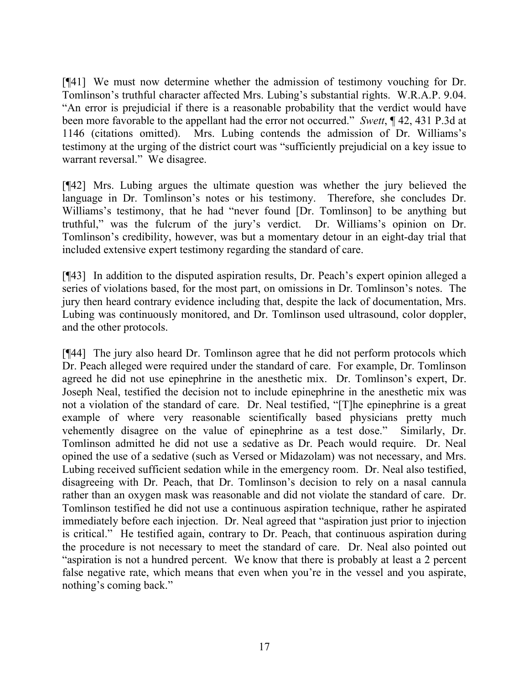[¶41] We must now determine whether the admission of testimony vouching for Dr. Tomlinson's truthful character affected Mrs. Lubing's substantial rights. W.R.A.P. 9.04. "An error is prejudicial if there is a reasonable probability that the verdict would have been more favorable to the appellant had the error not occurred." *Swett*, ¶ 42, 431 P.3d at 1146 (citations omitted). Mrs. Lubing contends the admission of Dr. Williams's testimony at the urging of the district court was "sufficiently prejudicial on a key issue to warrant reversal." We disagree.

[¶42] Mrs. Lubing argues the ultimate question was whether the jury believed the language in Dr. Tomlinson's notes or his testimony. Therefore, she concludes Dr. Williams's testimony, that he had "never found [Dr. Tomlinson] to be anything but truthful," was the fulcrum of the jury's verdict. Dr. Williams's opinion on Dr. Tomlinson's credibility, however, was but a momentary detour in an eight-day trial that included extensive expert testimony regarding the standard of care.

[¶43] In addition to the disputed aspiration results, Dr. Peach's expert opinion alleged a series of violations based, for the most part, on omissions in Dr. Tomlinson's notes. The jury then heard contrary evidence including that, despite the lack of documentation, Mrs. Lubing was continuously monitored, and Dr. Tomlinson used ultrasound, color doppler, and the other protocols.

[¶44] The jury also heard Dr. Tomlinson agree that he did not perform protocols which Dr. Peach alleged were required under the standard of care. For example, Dr. Tomlinson agreed he did not use epinephrine in the anesthetic mix. Dr. Tomlinson's expert, Dr. Joseph Neal, testified the decision not to include epinephrine in the anesthetic mix was not a violation of the standard of care. Dr. Neal testified, "[T]he epinephrine is a great example of where very reasonable scientifically based physicians pretty much vehemently disagree on the value of epinephrine as a test dose." Similarly, Dr. Tomlinson admitted he did not use a sedative as Dr. Peach would require. Dr. Neal opined the use of a sedative (such as Versed or Midazolam) was not necessary, and Mrs. Lubing received sufficient sedation while in the emergency room. Dr. Neal also testified, disagreeing with Dr. Peach, that Dr. Tomlinson's decision to rely on a nasal cannula rather than an oxygen mask was reasonable and did not violate the standard of care. Dr. Tomlinson testified he did not use a continuous aspiration technique, rather he aspirated immediately before each injection. Dr. Neal agreed that "aspiration just prior to injection is critical." He testified again, contrary to Dr. Peach, that continuous aspiration during the procedure is not necessary to meet the standard of care. Dr. Neal also pointed out "aspiration is not a hundred percent. We know that there is probably at least a 2 percent false negative rate, which means that even when you're in the vessel and you aspirate, nothing's coming back."